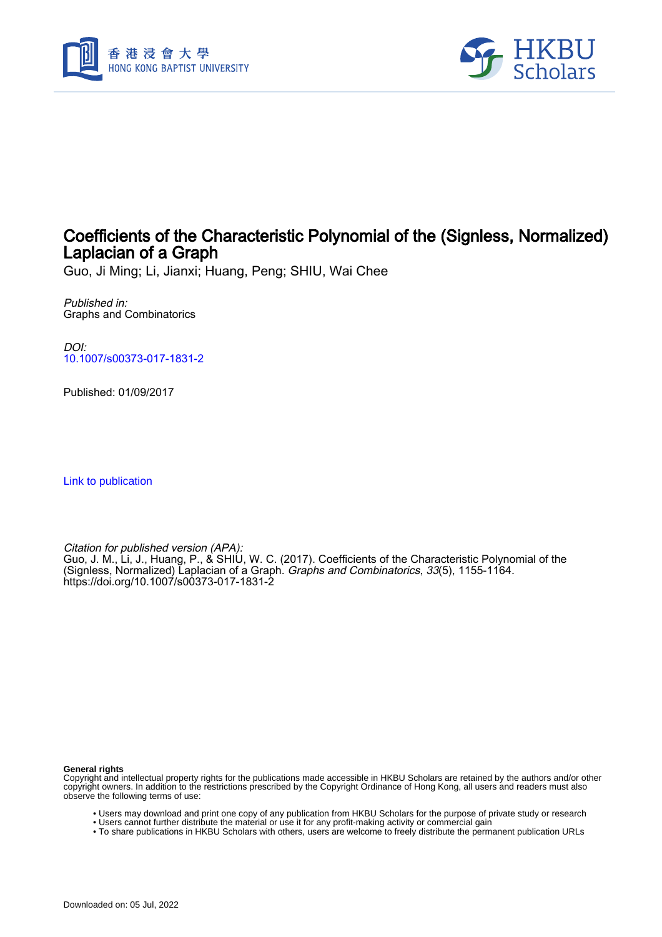



## Coefficients of the Characteristic Polynomial of the (Signless, Normalized) Laplacian of a Graph

Guo, Ji Ming; Li, Jianxi; Huang, Peng; SHIU, Wai Chee

Published in: Graphs and Combinatorics

DOI: [10.1007/s00373-017-1831-2](https://doi.org/10.1007/s00373-017-1831-2)

Published: 01/09/2017

[Link to publication](https://scholars.hkbu.edu.hk/en/publications/0867ebd9-b6f2-42d3-a1aa-daadd152a872)

Citation for published version (APA): Guo, J. M., Li, J., Huang, P., & SHIU, W. C. (2017). Coefficients of the Characteristic Polynomial of the (Signless, Normalized) Laplacian of a Graph. *Graphs and Combinatorics, 33*(5), 1155-1164. <https://doi.org/10.1007/s00373-017-1831-2>

**General rights**

Copyright and intellectual property rights for the publications made accessible in HKBU Scholars are retained by the authors and/or other copyright owners. In addition to the restrictions prescribed by the Copyright Ordinance of Hong Kong, all users and readers must also observe the following terms of use:

- Users may download and print one copy of any publication from HKBU Scholars for the purpose of private study or research
- Users cannot further distribute the material or use it for any profit-making activity or commercial gain
- To share publications in HKBU Scholars with others, users are welcome to freely distribute the permanent publication URLs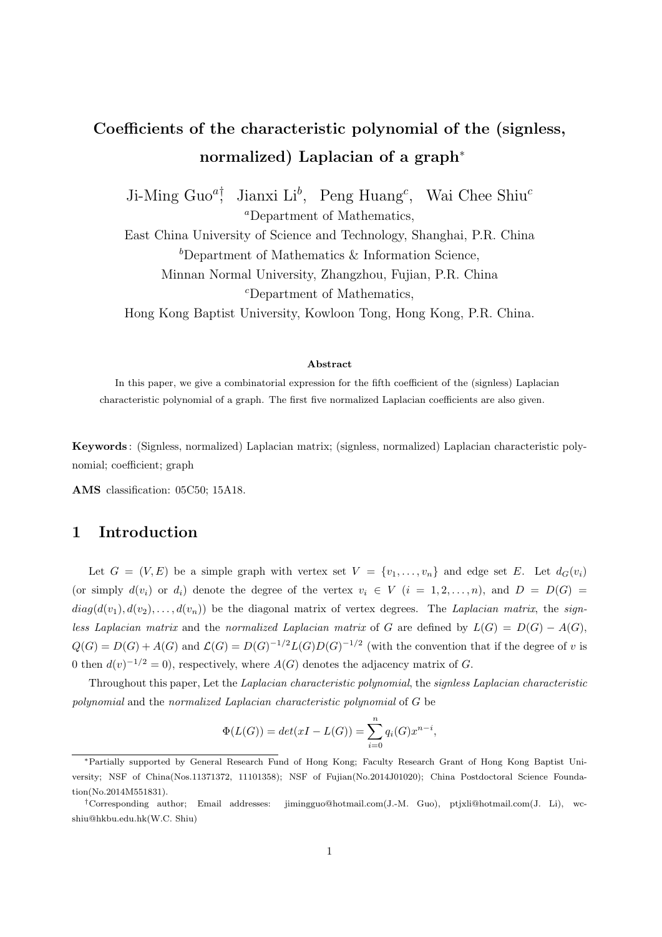# **Coefficients of the characteristic polynomial of the (signless, normalized) Laplacian of a graph***<sup>∗</sup>*

Ji-Ming Guo*<sup>a</sup>†* , Jianxi Li*<sup>b</sup>* , Peng Huang*<sup>c</sup>* , Wai Chee Shiu*<sup>c</sup> <sup>a</sup>*Department of Mathematics,

East China University of Science and Technology, Shanghai, P.R. China *<sup>b</sup>*Department of Mathematics & Information Science, Minnan Normal University, Zhangzhou, Fujian, P.R. China *<sup>c</sup>*Department of Mathematics,

Hong Kong Baptist University, Kowloon Tong, Hong Kong, P.R. China.

#### **Abstract**

In this paper, we give a combinatorial expression for the fifth coefficient of the (signless) Laplacian characteristic polynomial of a graph. The first five normalized Laplacian coefficients are also given.

**Keywords** : (Signless, normalized) Laplacian matrix; (signless, normalized) Laplacian characteristic polynomial; coefficient; graph

**AMS** classification: 05C50; 15A18.

### **1 Introduction**

Let  $G = (V, E)$  be a simple graph with vertex set  $V = \{v_1, \ldots, v_n\}$  and edge set *E*. Let  $d_G(v_i)$ (or simply  $d(v_i)$  or  $d_i$ ) denote the degree of the vertex  $v_i \in V$  ( $i = 1, 2, \ldots, n$ ), and  $D = D(G)$  $diag(d(v_1), d(v_2), \ldots, d(v_n))$  be the diagonal matrix of vertex degrees. The *Laplacian matrix*, the *signless Laplacian matrix* and the *normalized Laplacian matrix* of *G* are defined by  $L(G) = D(G) - A(G)$ ,  $Q(G) = D(G) + A(G)$  and  $\mathcal{L}(G) = D(G)^{-1/2}L(G)D(G)^{-1/2}$  (with the convention that if the degree of v is 0 then  $d(v)^{-1/2} = 0$ , respectively, where  $A(G)$  denotes the adjacency matrix of *G*.

Throughout this paper, Let the *Laplacian characteristic polynomial*, the *signless Laplacian characteristic polynomial* and the *normalized Laplacian characteristic polynomial* of *G* be

$$
\Phi(L(G)) = det(xI - L(G)) = \sum_{i=0}^{n} q_i(G)x^{n-i},
$$

*<sup>∗</sup>*Partially supported by General Research Fund of Hong Kong; Faculty Research Grant of Hong Kong Baptist University; NSF of China(Nos.11371372, 11101358); NSF of Fujian(No.2014J01020); China Postdoctoral Science Foundation(No.2014M551831).

*<sup>†</sup>*Corresponding author; Email addresses: jimingguo@hotmail.com(J.-M. Guo), ptjxli@hotmail.com(J. Li), wcshiu@hkbu.edu.hk(W.C. Shiu)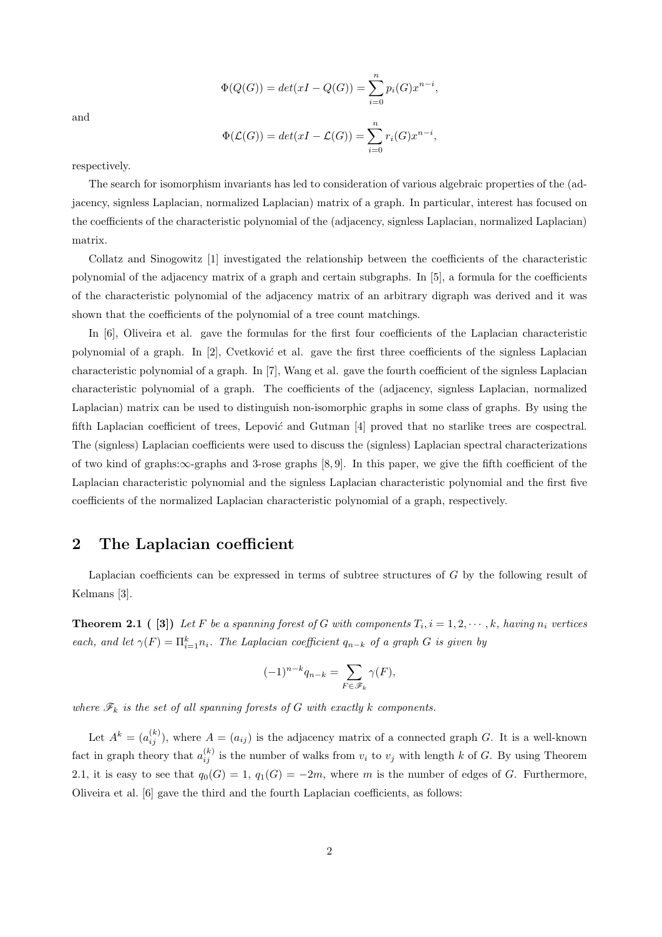and

$$
\Phi(Q(G)) = det(xI - Q(G)) = \sum_{i=0}^{n} p_i(G)x^{n-i},
$$

$$
\Phi(\mathcal{L}(G)) = det(xI - \mathcal{L}(G)) = \sum_{i=0}^{n} r_i(G)x^{n-i},
$$

respectively.

The search for isomorphism invariants has led to consideration of various algebraic properties of the (adjacency, signless Laplacian, normalized Laplacian) matrix of a graph. In particular, interest has focused on the coefficients of the characteristic polynomial of the (adjacency, signless Laplacian, normalized Laplacian) matrix.

Collatz and Sinogowitz [1] investigated the relationship between the coefficients of the characteristic polynomial of the adjacency matrix of a graph and certain subgraphs. In [5], a formula for the coefficients of the characteristic polynomial of the adjacency matrix of an arbitrary digraph was derived and it was shown that the coefficients of the polynomial of a tree count matchings.

In [6], Oliveira et al. gave the formulas for the first four coefficients of the Laplacian characteristic polynomial of a graph. In [2], Cvetkovi´*c* et al. gave the first three coefficients of the signless Laplacian characteristic polynomial of a graph. In [7], Wang et al. gave the fourth coefficient of the signless Laplacian characteristic polynomial of a graph. The coefficients of the (adjacency, signless Laplacian, normalized Laplacian) matrix can be used to distinguish non-isomorphic graphs in some class of graphs. By using the fifth Laplacian coefficient of trees, Lepović and Gutman [4] proved that no starlike trees are cospectral. The (signless) Laplacian coefficients were used to discuss the (signless) Laplacian spectral characterizations of two kind of graphs:*∞*-graphs and 3-rose graphs [8, 9]. In this paper, we give the fifth coefficient of the Laplacian characteristic polynomial and the signless Laplacian characteristic polynomial and the first five coefficients of the normalized Laplacian characteristic polynomial of a graph, respectively.

### **2 The Laplacian coefficient**

Laplacian coefficients can be expressed in terms of subtree structures of *G* by the following result of Kelmans [3].

**Theorem 2.1** ([3]) Let F be a spanning forest of G with components  $T_i$ ,  $i = 1, 2, \dots, k$ , having  $n_i$  vertices *each, and let*  $\gamma(F) = \prod_{i=1}^{k} n_i$ *. The Laplacian coefficient*  $q_{n-k}$  *of a graph G is given by* 

$$
(-1)^{n-k}q_{n-k} = \sum_{F \in \mathscr{F}_k} \gamma(F),
$$

*where*  $\mathscr{F}_k$  *is the set of all spanning forests of G with exactly k components.* 

Let  $A^k = (a_{ij}^{(k)})$ , where  $A = (a_{ij})$  is the adjacency matrix of a connected graph *G*. It is a well-known fact in graph theory that  $a_{ij}^{(k)}$  is the number of walks from  $v_i$  to  $v_j$  with length  $k$  of  $G$ . By using Theorem 2.1, it is easy to see that  $q_0(G) = 1$ ,  $q_1(G) = -2m$ , where *m* is the number of edges of *G*. Furthermore, Oliveira et al. [6] gave the third and the fourth Laplacian coefficients, as follows: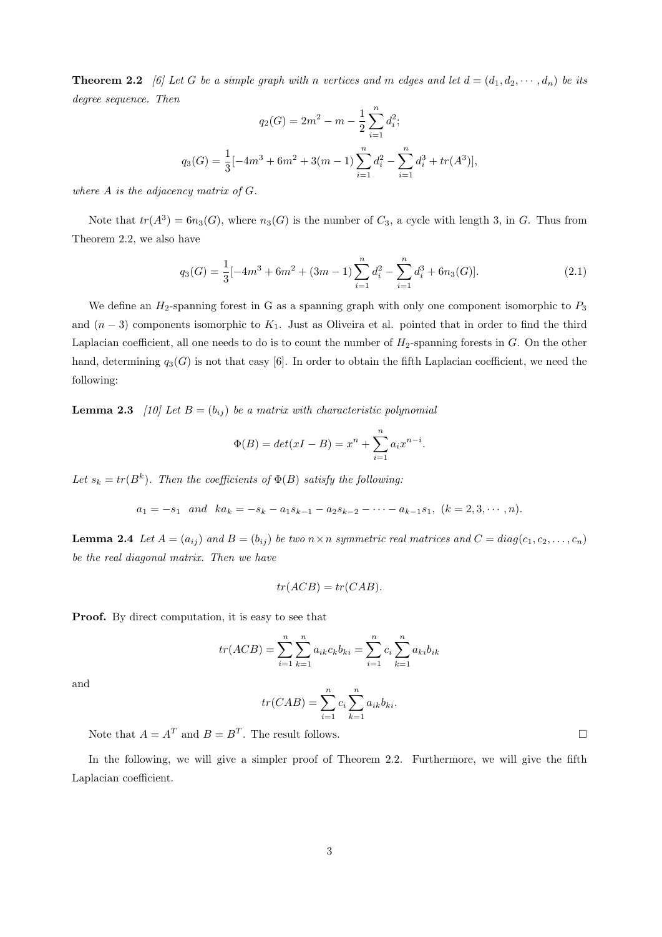**Theorem 2.2** [6] Let G be a simple graph with *n* vertices and *m* edges and let  $d = (d_1, d_2, \dots, d_n)$  be its *degree sequence. Then*

$$
q_2(G) = 2m^2 - m - \frac{1}{2} \sum_{i=1}^n d_i^2;
$$
  

$$
q_3(G) = \frac{1}{3} [-4m^3 + 6m^2 + 3(m-1) \sum_{i=1}^n d_i^2 - \sum_{i=1}^n d_i^3 + tr(A^3)],
$$

*where A is the adjacency matrix of G.*

Note that  $tr(A^3) = 6n_3(G)$ , where  $n_3(G)$  is the number of  $C_3$ , a cycle with length 3, in *G*. Thus from Theorem 2.2, we also have

$$
q_3(G) = \frac{1}{3}[-4m^3 + 6m^2 + (3m - 1)\sum_{i=1}^n d_i^2 - \sum_{i=1}^n d_i^3 + 6n_3(G)].
$$
\n(2.1)

We define an  $H_2$ -spanning forest in G as a spanning graph with only one component isomorphic to  $P_3$ and  $(n-3)$  components isomorphic to  $K_1$ . Just as Oliveira et al. pointed that in order to find the third Laplacian coefficient, all one needs to do is to count the number of  $H_2$ -spanning forests in *G*. On the other hand, determining  $q_3(G)$  is not that easy [6]. In order to obtain the fifth Laplacian coefficient, we need the following:

**Lemma 2.3** *[10] Let*  $B = (b_{ij})$  *be a matrix with characteristic polynomial* 

$$
\Phi(B) = det(xI - B) = x^{n} + \sum_{i=1}^{n} a_{i}x^{n-i}.
$$

Let  $s_k = tr(B^k)$ . Then the coefficients of  $\Phi(B)$  satisfy the following:

 $a_1 = -s_1$  and  $ka_k = -s_k - a_1s_{k-1} - a_2s_{k-2} - \cdots - a_{k-1}s_1$ ,  $(k = 2, 3, \cdots, n)$ .

**Lemma 2.4** Let  $A = (a_{ij})$  and  $B = (b_{ij})$  be two  $n \times n$  symmetric real matrices and  $C = diag(c_1, c_2, \ldots, c_n)$ *be the real diagonal matrix. Then we have*

$$
tr(ACB) = tr(CAB).
$$

**Proof.** By direct computation, it is easy to see that

$$
tr(ACB) = \sum_{i=1}^{n} \sum_{k=1}^{n} a_{ik} c_k b_{ki} = \sum_{i=1}^{n} c_i \sum_{k=1}^{n} a_{ki} b_{ik}
$$

and

$$
tr(CAB) = \sum_{i=1}^{n} c_i \sum_{k=1}^{n} a_{ik} b_{ki}.
$$

Note that  $A = A^T$  and  $B = B^T$ . The result follows.

In the following, we will give a simpler proof of Theorem 2.2. Furthermore, we will give the fifth Laplacian coefficient.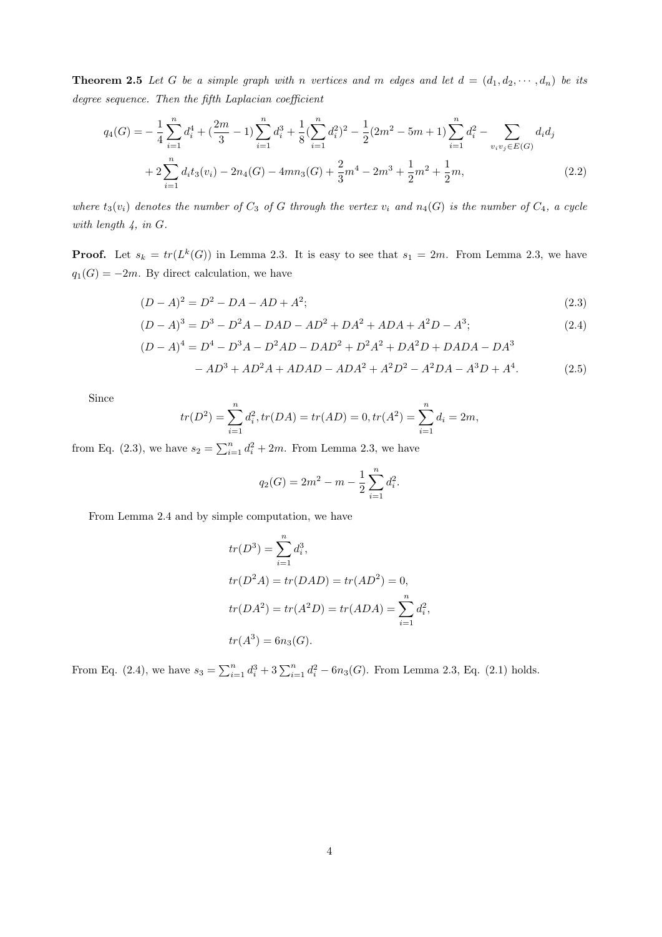**Theorem 2.5** Let G be a simple graph with *n* vertices and *m* edges and let  $d = (d_1, d_2, \dots, d_n)$  be its *degree sequence. Then the fifth Laplacian coefficient*

$$
q_4(G) = -\frac{1}{4} \sum_{i=1}^n d_i^4 + \left(\frac{2m}{3} - 1\right) \sum_{i=1}^n d_i^3 + \frac{1}{8} \left(\sum_{i=1}^n d_i^2\right)^2 - \frac{1}{2} (2m^2 - 5m + 1) \sum_{i=1}^n d_i^2 - \sum_{v_i v_j \in E(G)} d_i d_j
$$
  
+ 
$$
2 \sum_{i=1}^n d_i t_3(v_i) - 2n_4(G) - 4mn_3(G) + \frac{2}{3}m^4 - 2m^3 + \frac{1}{2}m^2 + \frac{1}{2}m,
$$
 (2.2)

*where*  $t_3(v_i)$  *denotes the number of*  $C_3$  *of*  $G$  *through the vertex*  $v_i$  *and*  $n_4(G)$  *is the number of*  $C_4$ *, a cycle with length 4, in G.*

**Proof.** Let  $s_k = tr(L^k(G))$  in Lemma 2.3. It is easy to see that  $s_1 = 2m$ . From Lemma 2.3, we have  $q_1(G) = -2m$ . By direct calculation, we have

$$
(D - A)^2 = D^2 - DA - AD + A^2;
$$
\n(2.3)

$$
(D - A)3 = D3 - D2A - DAD - AD2 + DA2 + ADA + A2D - A3; \t(2.4)
$$

$$
(D - A)4 = D4 – D3A – D2AD – DAD2 + D2A2 + DA2D + DADA – DA3
$$

$$
-AD3 + AD2A + ADAD - ADA2 + A2D2 - A2DA - A3D + A4.
$$
 (2.5)

Since

$$
tr(D^2) = \sum_{i=1}^n d_i^2, tr(DA) = tr(AD) = 0, tr(A^2) = \sum_{i=1}^n d_i = 2m,
$$

from Eq. (2.3), we have  $s_2 = \sum_{i=1}^n d_i^2 + 2m$ . From Lemma 2.3, we have

$$
q_2(G) = 2m^2 - m - \frac{1}{2} \sum_{i=1}^n d_i^2.
$$

From Lemma 2.4 and by simple computation, we have

$$
tr(D3) = \sum_{i=1}^{n} d_i3,
$$
  
\n
$$
tr(D2A) = tr(DAD) = tr(AD2) = 0,
$$
  
\n
$$
tr(DA2) = tr(A2D) = tr(ADA) = \sum_{i=1}^{n} d_i2,
$$
  
\n
$$
tr(A3) = 6n3(G).
$$

From Eq. (2.4), we have  $s_3 = \sum_{i=1}^n d_i^3 + 3 \sum_{i=1}^n d_i^2 - 6n_3(G)$ . From Lemma 2.3, Eq. (2.1) holds.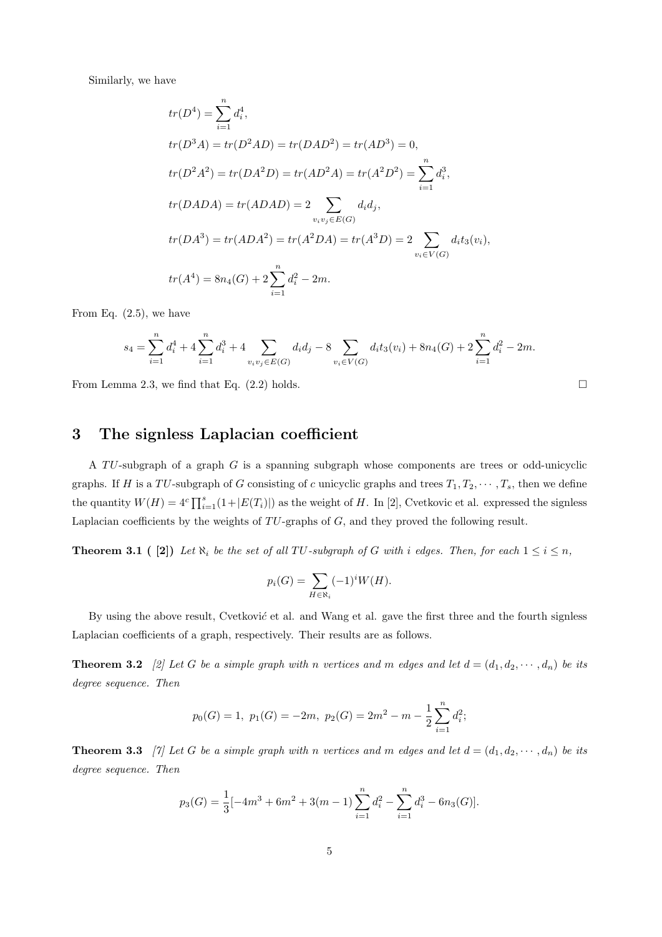Similarly, we have

$$
tr(D^4) = \sum_{i=1}^n d_i^4,
$$
  
\n
$$
tr(D^3A) = tr(D^2AD) = tr(DAD^2) = tr(AD^3) = 0,
$$
  
\n
$$
tr(D^2A^2) = tr(DA^2D) = tr(AD^2A) = tr(A^2D^2) = \sum_{i=1}^n d_i^3,
$$
  
\n
$$
tr(DADA) = tr(ADAD) = 2 \sum_{v_iv_j \in E(G)} d_i d_j,
$$
  
\n
$$
tr(DA^3) = tr(ADA^2) = tr(A^2DA) = tr(A^3D) = 2 \sum_{v_i \in V(G)} d_i t_3(v_i),
$$
  
\n
$$
tr(A^4) = 8n_4(G) + 2 \sum_{i=1}^n d_i^2 - 2m.
$$

From Eq. (2.5), we have

$$
s_4 = \sum_{i=1}^n d_i^4 + 4 \sum_{i=1}^n d_i^3 + 4 \sum_{v_i v_j \in E(G)} d_i d_j - 8 \sum_{v_i \in V(G)} d_i t_3(v_i) + 8n_4(G) + 2 \sum_{i=1}^n d_i^2 - 2m.
$$

From Lemma 2.3, we find that Eq. (2.2) holds.

#### **3 The signless Laplacian coefficient**

A *T U*-subgraph of a graph *G* is a spanning subgraph whose components are trees or odd-unicyclic graphs. If *H* is a  $TU$ -subgraph of *G* consisting of *c* unicyclic graphs and trees  $T_1, T_2, \cdots, T_s$ , then we define the quantity  $W(H) = 4<sup>c</sup> \prod_{i=1}^{s} (1 + |E(T_i)|)$  as the weight of *H*. In [2], Cvetkovic et al. expressed the signless Laplacian coefficients by the weights of *TU*-graphs of *G*, and they proved the following result.

**Theorem 3.1 (**[2]) Let  $\aleph_i$  be the set of all TU-subgraph of G with *i* edges. Then, for each  $1 \leq i \leq n$ ,

$$
p_i(G) = \sum_{H \in \aleph_i} (-1)^i W(H).
$$

By using the above result, Cvetković et al. and Wang et al. gave the first three and the fourth signless Laplacian coefficients of a graph, respectively. Their results are as follows.

**Theorem 3.2** [2] Let G be a simple graph with *n* vertices and *m* edges and let  $d = (d_1, d_2, \dots, d_n)$  be its *degree sequence. Then*

$$
p_0(G) = 1
$$
,  $p_1(G) = -2m$ ,  $p_2(G) = 2m^2 - m - \frac{1}{2} \sum_{i=1}^{n} d_i^2$ ;

**Theorem 3.3** [7] Let G be a simple graph with *n* vertices and *m* edges and let  $d = (d_1, d_2, \dots, d_n)$  be its *degree sequence. Then*

$$
p_3(G) = \frac{1}{3}[-4m^3 + 6m^2 + 3(m-1)\sum_{i=1}^n d_i^2 - \sum_{i=1}^n d_i^3 - 6n_3(G)].
$$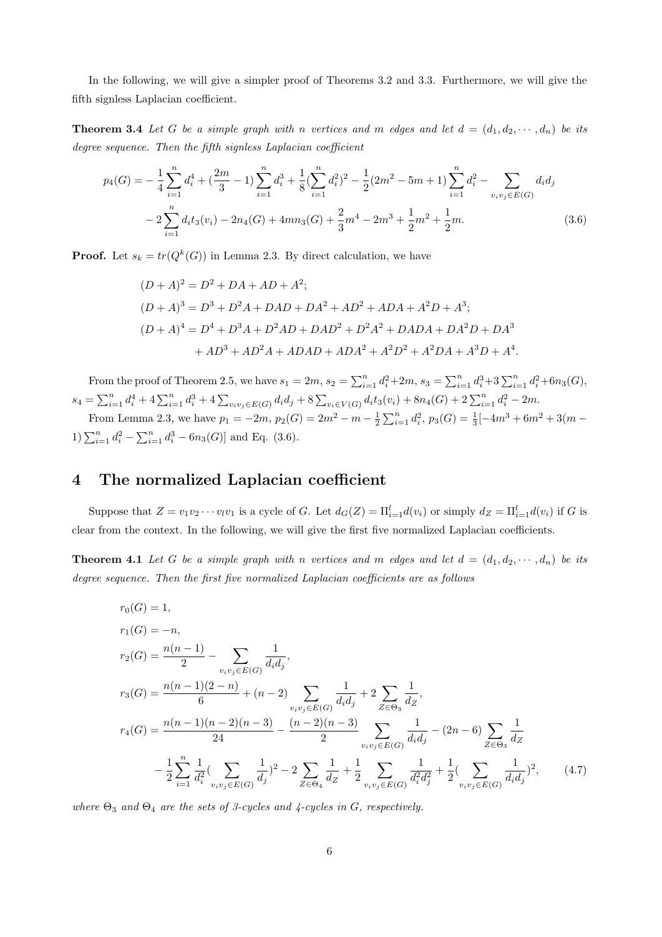In the following, we will give a simpler proof of Theorems 3.2 and 3.3. Furthermore, we will give the fifth signless Laplacian coefficient.

**Theorem 3.4** Let G be a simple graph with *n* vertices and *m* edges and let  $d = (d_1, d_2, \dots, d_n)$  be its *degree sequence. Then the fifth signless Laplacian coefficient*

$$
p_4(G) = -\frac{1}{4} \sum_{i=1}^n d_i^4 + \left(\frac{2m}{3} - 1\right) \sum_{i=1}^n d_i^3 + \frac{1}{8} \left(\sum_{i=1}^n d_i^2\right)^2 - \frac{1}{2} (2m^2 - 5m + 1) \sum_{i=1}^n d_i^2 - \sum_{v_i v_j \in E(G)} d_i d_j
$$
  

$$
-2 \sum_{i=1}^n d_i t_3(v_i) - 2n_4(G) + 4mn_3(G) + \frac{2}{3}m^4 - 2m^3 + \frac{1}{2}m^2 + \frac{1}{2}m.
$$
 (3.6)

**Proof.** Let  $s_k = tr(Q^k(G))$  in Lemma 2.3. By direct calculation, we have

$$
(D + A)2 = D2 + DA + AD + A2;(D + A)3 = D3 + D2A + DAD + DA2 + AD2 + ADA + A2D + A3;(D + A)4 = D4 + D3A + D2AD + DAD2 + D2A2 + DADA + DA2D + DA3 + AD3 + AD2A + ADAD + ADA2 + A2D2 + A2DA + A3D + A4.
$$

From the proof of Theorem 2.5, we have  $s_1 = 2m$ ,  $s_2 = \sum_{i=1}^n d_i^2 + 2m$ ,  $s_3 = \sum_{i=1}^n d_i^3 + 3 \sum_{i=1}^n d_i^2 + 6n_3(G)$ ,  $s_4 = \sum_{i=1}^n d_i^4 + 4 \sum_{i=1}^n d_i^3 + 4 \sum_{v_i v_j \in E(G)} d_i d_j + 8 \sum_{v_i \in V(G)} d_i t_3(v_i) + 8n_4(G) + 2 \sum_{i=1}^n d_i^2 - 2m.$ 

From Lemma 2.3, we have  $p_1 = -2m$ ,  $p_2(G) = 2m^2 - m - \frac{1}{2}\sum_{i=1}^n d_i^2$ ,  $p_3(G) = \frac{1}{3}[-4m^3 + 6m^2 + 3(m -$ 1) $\sum_{i=1}^{n} d_i^2 - \sum_{i=1}^{n} d_i^3 - 6n_3(G)$  and Eq. (3.6).

#### **4 The normalized Laplacian coefficient**

Suppose that  $Z = v_1v_2\cdots v_iv_1$  is a cycle of G. Let  $d_G(Z) = \prod_{i=1}^l d(v_i)$  or simply  $d_Z = \prod_{i=1}^l d(v_i)$  if G is clear from the context. In the following, we will give the first five normalized Laplacian coefficients.

**Theorem 4.1** Let G be a simple graph with *n* vertices and *m* edges and let  $d = (d_1, d_2, \dots, d_n)$  be its *degree sequence. Then the first five normalized Laplacian coefficients are as follows*

$$
r_{0}(G) = 1,
$$
  
\n
$$
r_{1}(G) = -n,
$$
  
\n
$$
r_{2}(G) = \frac{n(n-1)}{2} - \sum_{v_{i}v_{j} \in E(G)} \frac{1}{d_{i}d_{j}},
$$
  
\n
$$
r_{3}(G) = \frac{n(n-1)(2-n)}{6} + (n-2) \sum_{v_{i}v_{j} \in E(G)} \frac{1}{d_{i}d_{j}} + 2 \sum_{Z \in \Theta_{3}} \frac{1}{d_{Z}},
$$
  
\n
$$
r_{4}(G) = \frac{n(n-1)(n-2)(n-3)}{24} - \frac{(n-2)(n-3)}{2} \sum_{v_{i}v_{j} \in E(G)} \frac{1}{d_{i}d_{j}} - (2n-6) \sum_{Z \in \Theta_{3}} \frac{1}{d_{Z}} - \frac{1}{2} \sum_{i=1}^{n} \frac{1}{d_{i}^{2}} (\sum_{v_{i}v_{j} \in E(G)} \frac{1}{d_{i}})^{2} - 2 \sum_{Z \in \Theta_{4}} \frac{1}{d_{Z}} + \frac{1}{2} \sum_{v_{i}v_{j} \in E(G)} \frac{1}{d_{i}^{2}d_{j}^{2}} + \frac{1}{2} (\sum_{v_{i}v_{j} \in E(G)} \frac{1}{d_{i}d_{j}})^{2},
$$
\n(4.7)

*where*  $\Theta_3$  *and*  $\Theta_4$  *are the sets of 3-cycles and 4-cycles in G, respectively.*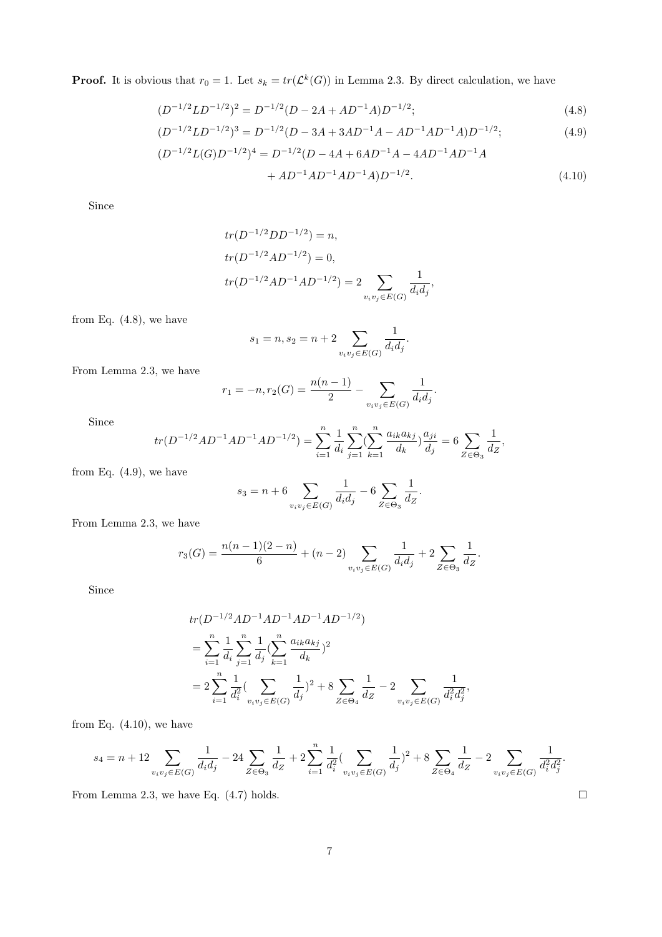**Proof.** It is obvious that  $r_0 = 1$ . Let  $s_k = tr(\mathcal{L}^k(G))$  in Lemma 2.3. By direct calculation, we have

$$
(D^{-1/2}LD^{-1/2})^2 = D^{-1/2}(D - 2A + AD^{-1}A)D^{-1/2};
$$
\n(4.8)

$$
(D^{-1/2}LD^{-1/2})^3 = D^{-1/2}(D - 3A + 3AD^{-1}A - AD^{-1}AD^{-1}A)D^{-1/2};
$$
\n(4.9)

$$
(D^{-1/2}L(G)D^{-1/2})^4 = D^{-1/2}(D - 4A + 6AD^{-1}A - 4AD^{-1}AD^{-1}A
$$

$$
+ AD^{-1}AD^{-1}AD^{-1}A)D^{-1/2}.
$$
(4.10)

*.*

Since

$$
tr(D^{-1/2}DD^{-1/2}) = n,
$$
  
\n
$$
tr(D^{-1/2}AD^{-1/2}) = 0,
$$
  
\n
$$
tr(D^{-1/2}AD^{-1}AD^{-1/2}) = 2 \sum_{v_iv_j \in E(G)} \frac{1}{d_i d_j},
$$

from Eq. (4.8), we have

$$
s_1 = n, s_2 = n + 2 \sum_{v_i v_j \in E(G)} \frac{1}{d_i d_j}.
$$

From Lemma 2.3, we have

$$
r_1 = -n, r_2(G) = \frac{n(n-1)}{2} - \sum_{v_i v_j \in E(G)} \frac{1}{d_i d_j}
$$

Since

$$
tr(D^{-1/2}AD^{-1}AD^{-1}AD^{-1/2})=\sum_{i=1}^n\frac{1}{d_i}\sum_{j=1}^n(\sum_{k=1}^n\frac{a_{ik}a_{kj}}{d_k})\frac{a_{ji}}{d_j}=6\sum_{Z\in\Theta_3}\frac{1}{d_Z},
$$

from Eq.  $(4.9)$ , we have

$$
s_3 = n + 6 \sum_{v_i v_j \in E(G)} \frac{1}{d_i d_j} - 6 \sum_{Z \in \Theta_3} \frac{1}{d_Z}.
$$

From Lemma 2.3, we have

$$
r_3(G) = \frac{n(n-1)(2-n)}{6} + (n-2) \sum_{v_iv_j \in E(G)} \frac{1}{d_i d_j} + 2 \sum_{Z \in \Theta_3} \frac{1}{d_Z}.
$$

Since

$$
tr(D^{-1/2}AD^{-1}AD^{-1}AD^{-1}AD^{-1/2})
$$
  
= 
$$
\sum_{i=1}^{n} \frac{1}{d_i} \sum_{j=1}^{n} \frac{1}{d_j} (\sum_{k=1}^{n} \frac{a_{ik}a_{kj}}{d_k})^2
$$
  
= 
$$
2 \sum_{i=1}^{n} \frac{1}{d_i^2} (\sum_{v_iv_j \in E(G)} \frac{1}{d_j})^2 + 8 \sum_{Z \in \Theta_4} \frac{1}{d_Z} - 2 \sum_{v_iv_j \in E(G)} \frac{1}{d_i^2 d_j^2},
$$

from Eq.  $(4.10)$ , we have

$$
s_4 = n + 12 \sum_{v_iv_j \in E(G)} \frac{1}{d_id_j} - 24 \sum_{Z \in \Theta_3} \frac{1}{d_Z} + 2 \sum_{i=1}^n \frac{1}{d_i^2} (\sum_{v_iv_j \in E(G)} \frac{1}{d_j})^2 + 8 \sum_{Z \in \Theta_4} \frac{1}{d_Z} - 2 \sum_{v_iv_j \in E(G)} \frac{1}{d_i^2 d_j^2}.
$$

From Lemma 2.3, we have Eq.  $(4.7)$  holds.